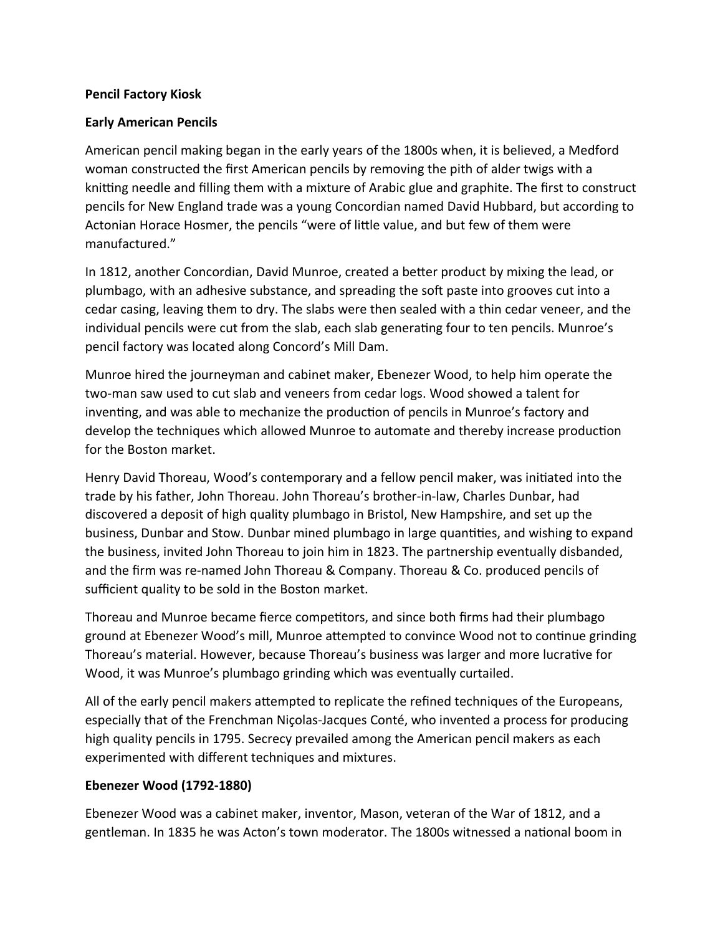## **Pencil Factory Kiosk**

## **Early American Pencils**

American pencil making began in the early years of the 1800s when, it is believed, a Medford woman constructed the first American pencils by removing the pith of alder twigs with a knitting needle and filling them with a mixture of Arabic glue and graphite. The first to construct pencils for New England trade was a young Concordian named David Hubbard, but according to Actonian Horace Hosmer, the pencils "were of little value, and but few of them were manufactured."

In 1812, another Concordian, David Munroe, created a better product by mixing the lead, or plumbago, with an adhesive substance, and spreading the soft paste into grooves cut into a cedar casing, leaving them to dry. The slabs were then sealed with a thin cedar veneer, and the individual pencils were cut from the slab, each slab generating four to ten pencils. Munroe's pencil factory was located along Concord's Mill Dam.

Munroe hired the journeyman and cabinet maker, Ebenezer Wood, to help him operate the two-man saw used to cut slab and veneers from cedar logs. Wood showed a talent for inventing, and was able to mechanize the production of pencils in Munroe's factory and develop the techniques which allowed Munroe to automate and thereby increase production for the Boston market.

Henry David Thoreau, Wood's contemporary and a fellow pencil maker, was initiated into the trade by his father, John Thoreau. John Thoreau's brother-in-law, Charles Dunbar, had discovered a deposit of high quality plumbago in Bristol, New Hampshire, and set up the business, Dunbar and Stow. Dunbar mined plumbago in large quantities, and wishing to expand the business, invited John Thoreau to join him in 1823. The partnership eventually disbanded, and the firm was re-named John Thoreau & Company. Thoreau & Co. produced pencils of sufficient quality to be sold in the Boston market.

Thoreau and Munroe became fierce competitors, and since both firms had their plumbago ground at Ebenezer Wood's mill, Munroe attempted to convince Wood not to continue grinding Thoreau's material. However, because Thoreau's business was larger and more lucrative for Wood, it was Munroe's plumbago grinding which was eventually curtailed.

All of the early pencil makers attempted to replicate the refined techniques of the Europeans, especially that of the Frenchman Niçolas-Jacques Conté, who invented a process for producing high quality pencils in 1795. Secrecy prevailed among the American pencil makers as each experimented with different techniques and mixtures.

## **Ebenezer Wood (1792-1880)**

Ebenezer Wood was a cabinet maker, inventor, Mason, veteran of the War of 1812, and a gentleman. In 1835 he was Acton's town moderator. The 1800s witnessed a national boom in